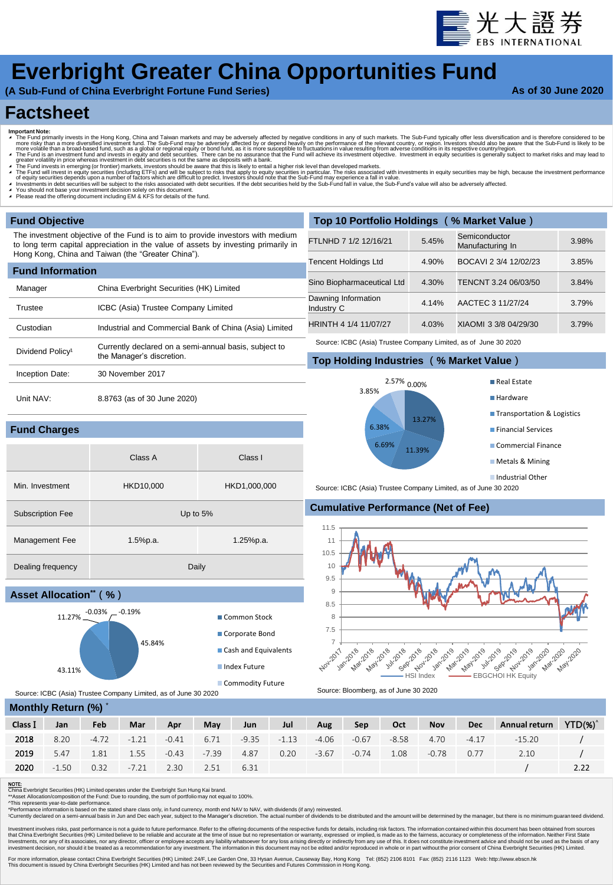

# **Everbright Greater China Opportunities Fund**

**(A Sub-Fund of China Everbright Fortune Fund Series)**

### **As of 30 June 2020**

## **Factsheet**

- 
- Important Note:<br>
The Fund primarily invests in the Hong Kong, China and Taiwan markets and may be adversely affected by negative conditions in any of such markets. The Sub-Fund typically offer less diversification and i
- 

Class A Class I

Min. Investment HKD10,000 HKD1,000,000

Management Fee 1.5%p.a. 1.5%p.a. 1.25%p.a.

45.84%

- 
- 
- ◢ You should not base your investment decision solely on this document. ◢ Please read the offering document including EM & KFS for details of the fund.

Inception Date: 30 November 2017

**Fund Charges**

Unit NAV: 8.8763 (as of 30 June 2020)

Subscription Fee Up to 5%

Dealing frequency Daily

 $11.27\%$ <sup>-0.03%</sup>  $-$ <sup>-0.19%</sup>

| <b>Fund Objective</b>        |                                                                                                                                                                       | Top 10 Portfolio Holdings (% Market Value)                      |       |                                   |       |  |  |  |  |
|------------------------------|-----------------------------------------------------------------------------------------------------------------------------------------------------------------------|-----------------------------------------------------------------|-------|-----------------------------------|-------|--|--|--|--|
|                              | The investment objective of the Fund is to aim to provide investors with medium<br>to long term capital appreciation in the value of assets by investing primarily in | FTLNHD 7 1/2 12/16/21                                           | 5.45% | Semiconductor<br>Manufacturing In | 3.98% |  |  |  |  |
|                              | Hong Kong, China and Taiwan (the "Greater China").                                                                                                                    | Tencent Holdings Ltd                                            | 4.90% | BOCAVI 2 3/4 12/02/23             | 3.85% |  |  |  |  |
| <b>Fund Information</b>      |                                                                                                                                                                       |                                                                 |       |                                   |       |  |  |  |  |
| Manager                      | China Everbright Securities (HK) Limited                                                                                                                              | Sino Biopharmaceutical Ltd                                      | 4.30% | TENCNT 3.24 06/03/50              | 3.84% |  |  |  |  |
| Trustee                      | ICBC (Asia) Trustee Company Limited                                                                                                                                   | Dawning Information<br>Industry C                               | 4.14% | AACTEC 3 11/27/24                 | 3.79% |  |  |  |  |
| Custodian                    | Industrial and Commercial Bank of China (Asia) Limited                                                                                                                | HRINTH 4 1/4 11/07/27                                           | 4.03% | XIAOMI 3 3/8 04/29/30             | 3.79% |  |  |  |  |
| Dividend Policy <sup>1</sup> | Currently declared on a semi-annual basis, subject to                                                                                                                 | Source: ICBC (Asia) Trustee Company Limited, as of June 30 2020 |       |                                   |       |  |  |  |  |
|                              | the Manager's discretion.                                                                                                                                             | Top Holding Industries (% Market Value)                         |       |                                   |       |  |  |  |  |
|                              |                                                                                                                                                                       |                                                                 |       |                                   |       |  |  |  |  |





Source: ICBC (Asia) Trustee Company Limited, as of June 30 2020

## **Cumulative Performance (Net of Fee)**



Source: ICBC (Asia) Trustee Company Limited, as of June 30 2020

| Monthly Return (%) * |  |  |
|----------------------|--|--|
|                      |  |  |

43.11%

**Asset Allocation\*\***(**%**)

| Class I | Jan     | Feb     | Mar     | Apr     | May     | <b>Jun</b> | Jul     | Aug     | Sep     | Oct     | <b>Nov</b> | <b>Dec</b> | Annual return | $YTD(\%)'$ |
|---------|---------|---------|---------|---------|---------|------------|---------|---------|---------|---------|------------|------------|---------------|------------|
| 2018    | 8.20    | $-4.72$ | $-1.21$ | -0.41   | 6.71    | $-9.35$    | $-1.13$ | -4.06   | $-0.67$ | $-8.58$ | 4.70       | $-4.17$    | $-15.20$      |            |
| 2019    | 5.47    | 1.81    | 1.55    | $-0.43$ | $-7.39$ | 4.87       | 0.20    | $-3.67$ | $-0.74$ | 1.08    | $-0.78$    | 0.77       | 2.10          |            |
| 2020    | $-1.50$ | 0.32    | $-7.21$ | 2.30    | 2.51    | 6.31       |         |         |         |         |            |            |               | 2.22       |
|         |         |         |         |         |         |            |         |         |         |         |            |            |               |            |

NOTE:<br>China Everbright Securities (HK) Limited operates under the Everbright Sun Hung Kai brand.<br>\*\*Asset Allocation/composition of the Fund: Due to rounding, the sum of portfolio may not equal to 100%.<br>\*Pariormance informa

Investment involves risks, past performance is not a guide to future performance. Refer to the offering documents of the respective funds for details, including risk factors. The information completenes of the information Investments, nor any of its associates, nor any director, officer or employee accepts any liability whatsoever for any loss arising directly from any use of this. It desises of any charge that increases a fore basis of any

For more information, please contact China Everbright Securities (HK) Limited: 24/F, Lee Garden One, 33 Hysan Avenue, Causeway Bay, Hong Kong Tel: (852) 2106 8101 Fax: (852) 2116 1123 Web: http://www.ebson.hk<br>This document

Common Stock Corporate Bond Cash and Equivalents **Index Future Commodity Future**